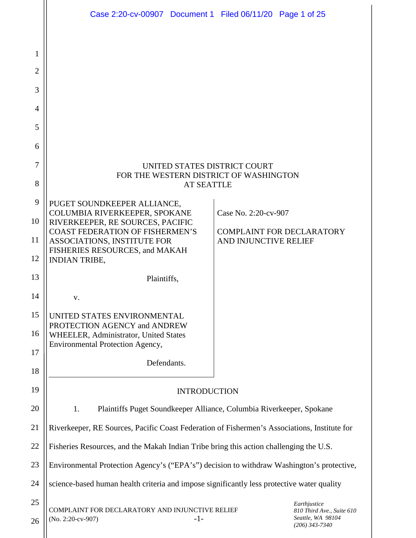|                | Case 2:20-cv-00907 Document 1 Filed 06/11/20 Page 1 of 25                                    |                                                                    |  |
|----------------|----------------------------------------------------------------------------------------------|--------------------------------------------------------------------|--|
|                |                                                                                              |                                                                    |  |
| 1              |                                                                                              |                                                                    |  |
| $\overline{2}$ |                                                                                              |                                                                    |  |
| 3              |                                                                                              |                                                                    |  |
| $\overline{4}$ |                                                                                              |                                                                    |  |
| 5              |                                                                                              |                                                                    |  |
| 6              |                                                                                              |                                                                    |  |
| 7              | UNITED STATES DISTRICT COURT                                                                 |                                                                    |  |
| 8              | FOR THE WESTERN DISTRICT OF WASHINGTON<br><b>AT SEATTLE</b>                                  |                                                                    |  |
| 9              | PUGET SOUNDKEEPER ALLIANCE,                                                                  |                                                                    |  |
| 10             | COLUMBIA RIVERKEEPER, SPOKANE<br>Case No. 2:20-cv-907<br>RIVERKEEPER, RE SOURCES, PACIFIC    |                                                                    |  |
| 11             | <b>COAST FEDERATION OF FISHERMEN'S</b><br>ASSOCIATIONS, INSTITUTE FOR                        | <b>COMPLAINT FOR DECLARATORY</b><br>AND INJUNCTIVE RELIEF          |  |
| 12             | FISHERIES RESOURCES, and MAKAH<br><b>INDIAN TRIBE,</b>                                       |                                                                    |  |
| 13             | Plaintiffs,                                                                                  |                                                                    |  |
| 14             | V.                                                                                           |                                                                    |  |
| 15             | UNITED STATES ENVIRONMENTAL                                                                  |                                                                    |  |
| 16             | PROTECTION AGENCY and ANDREW<br>WHEELER, Administrator, United States                        |                                                                    |  |
| 17             | Environmental Protection Agency,                                                             |                                                                    |  |
| 18             | Defendants.                                                                                  |                                                                    |  |
| 19             | <b>INTRODUCTION</b>                                                                          |                                                                    |  |
| 20             | 1.<br>Plaintiffs Puget Soundkeeper Alliance, Columbia Riverkeeper, Spokane                   |                                                                    |  |
| 21             | Riverkeeper, RE Sources, Pacific Coast Federation of Fishermen's Associations, Institute for |                                                                    |  |
| 22             | Fisheries Resources, and the Makah Indian Tribe bring this action challenging the U.S.       |                                                                    |  |
| 23             | Environmental Protection Agency's ("EPA's") decision to withdraw Washington's protective,    |                                                                    |  |
| 24             | science-based human health criteria and impose significantly less protective water quality   |                                                                    |  |
| 25             | Earthjustice                                                                                 |                                                                    |  |
| 26             | COMPLAINT FOR DECLARATORY AND INJUNCTIVE RELIEF<br>(No. 2:20-cv-907)<br>$-1-$                | 810 Third Ave., Suite 610<br>Seattle, WA 98104<br>$(206)$ 343-7340 |  |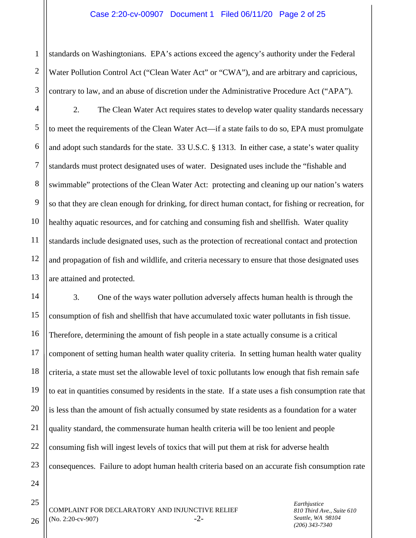1 2 3 standards on Washingtonians. EPA's actions exceed the agency's authority under the Federal Water Pollution Control Act ("Clean Water Act" or "CWA"), and are arbitrary and capricious, contrary to law, and an abuse of discretion under the Administrative Procedure Act ("APA").

4 5 6 7 8 9 10 11 12 13 2. The Clean Water Act requires states to develop water quality standards necessary to meet the requirements of the Clean Water Act—if a state fails to do so, EPA must promulgate and adopt such standards for the state. 33 U.S.C. § 1313. In either case, a state's water quality standards must protect designated uses of water. Designated uses include the "fishable and swimmable" protections of the Clean Water Act: protecting and cleaning up our nation's waters so that they are clean enough for drinking, for direct human contact, for fishing or recreation, for healthy aquatic resources, and for catching and consuming fish and shellfish. Water quality standards include designated uses, such as the protection of recreational contact and protection and propagation of fish and wildlife, and criteria necessary to ensure that those designated uses are attained and protected.

14 15 16 17 18 19 20 21 3. One of the ways water pollution adversely affects human health is through the consumption of fish and shellfish that have accumulated toxic water pollutants in fish tissue. Therefore, determining the amount of fish people in a state actually consume is a critical component of setting human health water quality criteria. In setting human health water quality criteria, a state must set the allowable level of toxic pollutants low enough that fish remain safe to eat in quantities consumed by residents in the state. If a state uses a fish consumption rate that is less than the amount of fish actually consumed by state residents as a foundation for a water quality standard, the commensurate human health criteria will be too lenient and people consuming fish will ingest levels of toxics that will put them at risk for adverse health consequences. Failure to adopt human health criteria based on an accurate fish consumption rate

26

COMPLAINT FOR DECLARATORY AND INJUNCTIVE RELIEF  $(No. 2:20$ -cv-907)  $-2$ -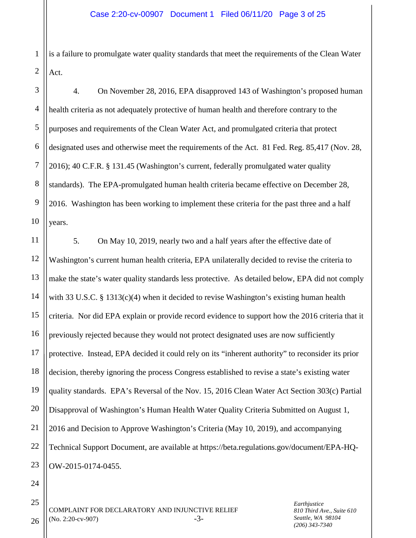1 2 is a failure to promulgate water quality standards that meet the requirements of the Clean Water Act.

3 4 5 6 7 8 9 10 4. On November 28, 2016, EPA disapproved 143 of Washington's proposed human health criteria as not adequately protective of human health and therefore contrary to the purposes and requirements of the Clean Water Act, and promulgated criteria that protect designated uses and otherwise meet the requirements of the Act. 81 Fed. Reg. 85,417 (Nov. 28, 2016); 40 C.F.R. § 131.45 (Washington's current, federally promulgated water quality standards). The EPA-promulgated human health criteria became effective on December 28, 2016. Washington has been working to implement these criteria for the past three and a half years.

11 12 13 14 15 16 17 18 19 20 21 22 23 5. On May 10, 2019, nearly two and a half years after the effective date of Washington's current human health criteria, EPA unilaterally decided to revise the criteria to make the state's water quality standards less protective. As detailed below, EPA did not comply with 33 U.S.C. § 1313(c)(4) when it decided to revise Washington's existing human health criteria. Nor did EPA explain or provide record evidence to support how the 2016 criteria that it previously rejected because they would not protect designated uses are now sufficiently protective. Instead, EPA decided it could rely on its "inherent authority" to reconsider its prior decision, thereby ignoring the process Congress established to revise a state's existing water quality standards. EPA's Reversal of the Nov. 15, 2016 Clean Water Act Section 303(c) Partial Disapproval of Washington's Human Health Water Quality Criteria Submitted on August 1, 2016 and Decision to Approve Washington's Criteria (May 10, 2019), and accompanying Technical Support Document, are available at https://beta.regulations.gov/document/EPA-HQ-OW-2015-0174-0455.

24

25

26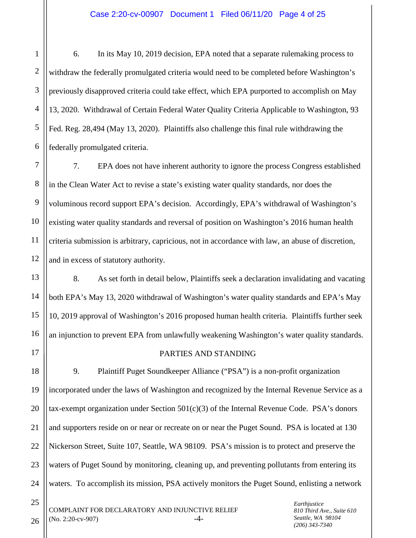1 2 3 4 5 6 6. In its May 10, 2019 decision, EPA noted that a separate rulemaking process to withdraw the federally promulgated criteria would need to be completed before Washington's previously disapproved criteria could take effect, which EPA purported to accomplish on May 13, 2020. Withdrawal of Certain Federal Water Quality Criteria Applicable to Washington, 93 Fed. Reg. 28,494 (May 13, 2020). Plaintiffs also challenge this final rule withdrawing the federally promulgated criteria.

7 8 9 10 11 12 7. EPA does not have inherent authority to ignore the process Congress established in the Clean Water Act to revise a state's existing water quality standards, nor does the voluminous record support EPA's decision. Accordingly, EPA's withdrawal of Washington's existing water quality standards and reversal of position on Washington's 2016 human health criteria submission is arbitrary, capricious, not in accordance with law, an abuse of discretion, and in excess of statutory authority.

13 14 15 16 8. As set forth in detail below, Plaintiffs seek a declaration invalidating and vacating both EPA's May 13, 2020 withdrawal of Washington's water quality standards and EPA's May 10, 2019 approval of Washington's 2016 proposed human health criteria. Plaintiffs further seek an injunction to prevent EPA from unlawfully weakening Washington's water quality standards.

### PARTIES AND STANDING

18 19 20 21 22 23 24 9. Plaintiff Puget Soundkeeper Alliance ("PSA") is a non-profit organization incorporated under the laws of Washington and recognized by the Internal Revenue Service as a tax-exempt organization under Section  $501(c)(3)$  of the Internal Revenue Code. PSA's donors and supporters reside on or near or recreate on or near the Puget Sound. PSA is located at 130 Nickerson Street, Suite 107, Seattle, WA 98109. PSA's mission is to protect and preserve the waters of Puget Sound by monitoring, cleaning up, and preventing pollutants from entering its waters. To accomplish its mission, PSA actively monitors the Puget Sound, enlisting a network

COMPLAINT FOR DECLARATORY AND INJUNCTIVE RELIEF  $(N<sub>0</sub>, 2:20-cv-907)$  -4-

26

25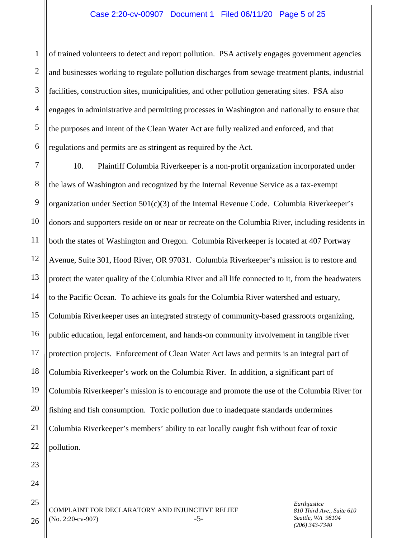1 2 3 4 5 6 of trained volunteers to detect and report pollution. PSA actively engages government agencies and businesses working to regulate pollution discharges from sewage treatment plants, industrial facilities, construction sites, municipalities, and other pollution generating sites. PSA also engages in administrative and permitting processes in Washington and nationally to ensure that the purposes and intent of the Clean Water Act are fully realized and enforced, and that regulations and permits are as stringent as required by the Act.

7 8 9 10 11 12 13 14 15 16 17 18 19 20 21 22 10. Plaintiff Columbia Riverkeeper is a non-profit organization incorporated under the laws of Washington and recognized by the Internal Revenue Service as a tax-exempt organization under Section 501(c)(3) of the Internal Revenue Code. Columbia Riverkeeper's donors and supporters reside on or near or recreate on the Columbia River, including residents in both the states of Washington and Oregon. Columbia Riverkeeper is located at 407 Portway Avenue, Suite 301, Hood River, OR 97031. Columbia Riverkeeper's mission is to restore and protect the water quality of the Columbia River and all life connected to it, from the headwaters to the Pacific Ocean. To achieve its goals for the Columbia River watershed and estuary, Columbia Riverkeeper uses an integrated strategy of community-based grassroots organizing, public education, legal enforcement, and hands-on community involvement in tangible river protection projects. Enforcement of Clean Water Act laws and permits is an integral part of Columbia Riverkeeper's work on the Columbia River. In addition, a significant part of Columbia Riverkeeper's mission is to encourage and promote the use of the Columbia River for fishing and fish consumption. Toxic pollution due to inadequate standards undermines Columbia Riverkeeper's members' ability to eat locally caught fish without fear of toxic pollution.

COMPLAINT FOR DECLARATORY AND INJUNCTIVE RELIEF  $(No. 2:20$ -cv-907)  $-5$ - *Earthjustice 810 Third Ave., Suite 610 Seattle, WA 98104 (206) 343-7340*

26

23

24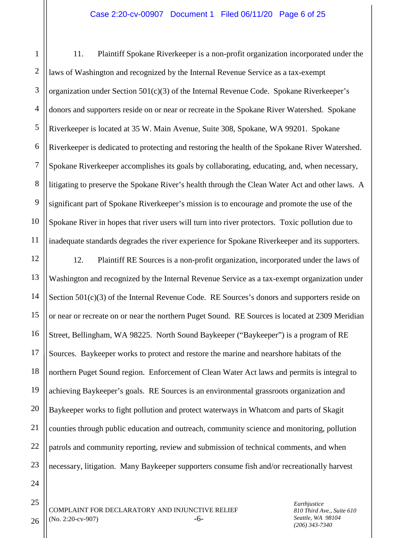#### Case 2:20-cv-00907 Document 1 Filed 06/11/20 Page 6 of 25

1 2 3 4 5 6 7 8 9 10 11 11. Plaintiff Spokane Riverkeeper is a non-profit organization incorporated under the laws of Washington and recognized by the Internal Revenue Service as a tax-exempt organization under Section  $501(c)(3)$  of the Internal Revenue Code. Spokane Riverkeeper's donors and supporters reside on or near or recreate in the Spokane River Watershed. Spokane Riverkeeper is located at 35 W. Main Avenue, Suite 308, Spokane, WA 99201. Spokane Riverkeeper is dedicated to protecting and restoring the health of the Spokane River Watershed. Spokane Riverkeeper accomplishes its goals by collaborating, educating, and, when necessary, litigating to preserve the Spokane River's health through the Clean Water Act and other laws. A significant part of Spokane Riverkeeper's mission is to encourage and promote the use of the Spokane River in hopes that river users will turn into river protectors. Toxic pollution due to inadequate standards degrades the river experience for Spokane Riverkeeper and its supporters.

12 13 14 15 16 17 18 19 20 21 22 23 12. Plaintiff RE Sources is a non-profit organization, incorporated under the laws of Washington and recognized by the Internal Revenue Service as a tax-exempt organization under Section 501(c)(3) of the Internal Revenue Code. RE Sources's donors and supporters reside on or near or recreate on or near the northern Puget Sound. RE Sources is located at 2309 Meridian Street, Bellingham, WA 98225. North Sound Baykeeper ("Baykeeper") is a program of RE Sources. Baykeeper works to protect and restore the marine and nearshore habitats of the northern Puget Sound region. Enforcement of Clean Water Act laws and permits is integral to achieving Baykeeper's goals. RE Sources is an environmental grassroots organization and Baykeeper works to fight pollution and protect waterways in Whatcom and parts of Skagit counties through public education and outreach, community science and monitoring, pollution patrols and community reporting, review and submission of technical comments, and when necessary, litigation. Many Baykeeper supporters consume fish and/or recreationally harvest

24

25

26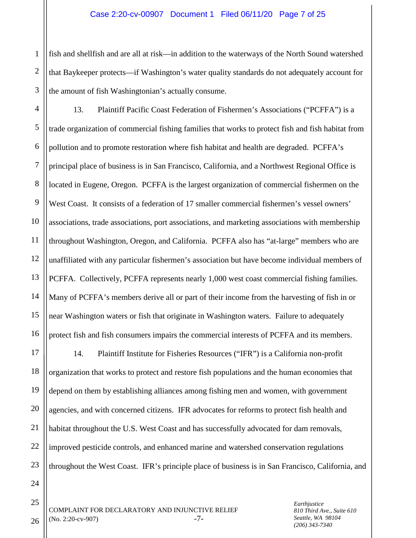1 2 3 fish and shellfish and are all at risk—in addition to the waterways of the North Sound watershed that Baykeeper protects—if Washington's water quality standards do not adequately account for the amount of fish Washingtonian's actually consume.

4 5 6 7 8 9 10 11 12 13 14 15 16 13. Plaintiff Pacific Coast Federation of Fishermen's Associations ("PCFFA") is a trade organization of commercial fishing families that works to protect fish and fish habitat from pollution and to promote restoration where fish habitat and health are degraded. PCFFA's principal place of business is in San Francisco, California, and a Northwest Regional Office is located in Eugene, Oregon. PCFFA is the largest organization of commercial fishermen on the West Coast. It consists of a federation of 17 smaller commercial fishermen's vessel owners' associations, trade associations, port associations, and marketing associations with membership throughout Washington, Oregon, and California. PCFFA also has "at-large" members who are unaffiliated with any particular fishermen's association but have become individual members of PCFFA. Collectively, PCFFA represents nearly 1,000 west coast commercial fishing families. Many of PCFFA's members derive all or part of their income from the harvesting of fish in or near Washington waters or fish that originate in Washington waters. Failure to adequately protect fish and fish consumers impairs the commercial interests of PCFFA and its members.

17 18 19 20 21 22 23 14. Plaintiff Institute for Fisheries Resources ("IFR") is a California non-profit organization that works to protect and restore fish populations and the human economies that depend on them by establishing alliances among fishing men and women, with government agencies, and with concerned citizens. IFR advocates for reforms to protect fish health and habitat throughout the U.S. West Coast and has successfully advocated for dam removals, improved pesticide controls, and enhanced marine and watershed conservation regulations throughout the West Coast. IFR's principle place of business is in San Francisco, California, and

24

25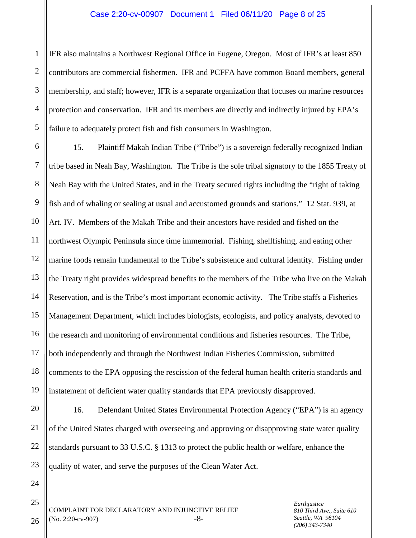1 2 3 4 5 IFR also maintains a Northwest Regional Office in Eugene, Oregon. Most of IFR's at least 850 contributors are commercial fishermen. IFR and PCFFA have common Board members, general membership, and staff; however, IFR is a separate organization that focuses on marine resources protection and conservation. IFR and its members are directly and indirectly injured by EPA's failure to adequately protect fish and fish consumers in Washington.

6 7 8 9 10 11 12 13 14 15 16 17 18 19 15. Plaintiff Makah Indian Tribe ("Tribe") is a sovereign federally recognized Indian tribe based in Neah Bay, Washington. The Tribe is the sole tribal signatory to the 1855 Treaty of Neah Bay with the United States, and in the Treaty secured rights including the "right of taking fish and of whaling or sealing at usual and accustomed grounds and stations." 12 Stat. 939, at Art. IV. Members of the Makah Tribe and their ancestors have resided and fished on the northwest Olympic Peninsula since time immemorial. Fishing, shellfishing, and eating other marine foods remain fundamental to the Tribe's subsistence and cultural identity. Fishing under the Treaty right provides widespread benefits to the members of the Tribe who live on the Makah Reservation, and is the Tribe's most important economic activity. The Tribe staffs a Fisheries Management Department, which includes biologists, ecologists, and policy analysts, devoted to the research and monitoring of environmental conditions and fisheries resources. The Tribe, both independently and through the Northwest Indian Fisheries Commission, submitted comments to the EPA opposing the rescission of the federal human health criteria standards and instatement of deficient water quality standards that EPA previously disapproved.

20 21 22 23 16. Defendant United States Environmental Protection Agency ("EPA") is an agency of the United States charged with overseeing and approving or disapproving state water quality standards pursuant to 33 U.S.C. § 1313 to protect the public health or welfare, enhance the quality of water, and serve the purposes of the Clean Water Act.

24 25

26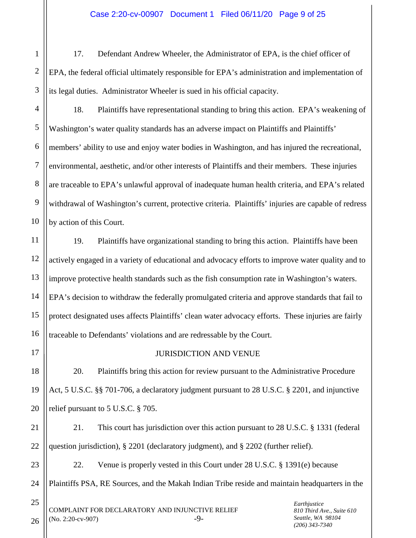3 17. Defendant Andrew Wheeler, the Administrator of EPA, is the chief officer of EPA, the federal official ultimately responsible for EPA's administration and implementation of its legal duties. Administrator Wheeler is sued in his official capacity.

4 5 6 7 8 9 10 18. Plaintiffs have representational standing to bring this action. EPA's weakening of Washington's water quality standards has an adverse impact on Plaintiffs and Plaintiffs' members' ability to use and enjoy water bodies in Washington, and has injured the recreational, environmental, aesthetic, and/or other interests of Plaintiffs and their members. These injuries are traceable to EPA's unlawful approval of inadequate human health criteria, and EPA's related withdrawal of Washington's current, protective criteria. Plaintiffs' injuries are capable of redress by action of this Court.

12 13 14 15 16 19. Plaintiffs have organizational standing to bring this action. Plaintiffs have been actively engaged in a variety of educational and advocacy efforts to improve water quality and to improve protective health standards such as the fish consumption rate in Washington's waters. EPA's decision to withdraw the federally promulgated criteria and approve standards that fail to protect designated uses affects Plaintiffs' clean water advocacy efforts. These injuries are fairly traceable to Defendants' violations and are redressable by the Court.

17

18

19

20

1

2

11

# JURISDICTION AND VENUE

20. Plaintiffs bring this action for review pursuant to the Administrative Procedure Act, 5 U.S.C. §§ 701-706, a declaratory judgment pursuant to 28 U.S.C. § 2201, and injunctive relief pursuant to 5 U.S.C. § 705.

21 22 21. This court has jurisdiction over this action pursuant to 28 U.S.C. § 1331 (federal question jurisdiction), § 2201 (declaratory judgment), and § 2202 (further relief).

23 24 22. Venue is properly vested in this Court under 28 U.S.C. § 1391(e) because Plaintiffs PSA, RE Sources, and the Makah Indian Tribe reside and maintain headquarters in the

COMPLAINT FOR DECLARATORY AND INJUNCTIVE RELIEF  $(No. 2:20$ -cv-907)  $-9$ - *Earthjustice 810 Third Ave., Suite 610 Seattle, WA 98104 (206) 343-7340*

26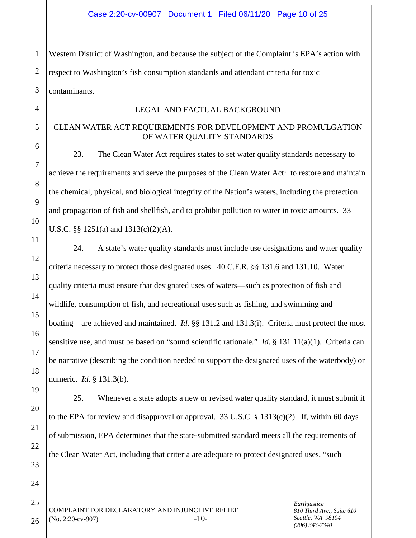1 2 3 Western District of Washington, and because the subject of the Complaint is EPA's action with respect to Washington's fish consumption standards and attendant criteria for toxic contaminants.

## LEGAL AND FACTUAL BACKGROUND

# CLEAN WATER ACT REQUIREMENTS FOR DEVELOPMENT AND PROMULGATION OF WATER QUALITY STANDARDS

23. The Clean Water Act requires states to set water quality standards necessary to achieve the requirements and serve the purposes of the Clean Water Act: to restore and maintain the chemical, physical, and biological integrity of the Nation's waters, including the protection and propagation of fish and shellfish, and to prohibit pollution to water in toxic amounts. 33 U.S.C. §§ 1251(a) and 1313(c)(2)(A).

24. A state's water quality standards must include use designations and water quality criteria necessary to protect those designated uses. 40 C.F.R. §§ 131.6 and 131.10. Water quality criteria must ensure that designated uses of waters—such as protection of fish and wildlife, consumption of fish, and recreational uses such as fishing, and swimming and boating—are achieved and maintained. *Id*. §§ 131.2 and 131.3(i). Criteria must protect the most sensitive use, and must be based on "sound scientific rationale." *Id*. § 131.11(a)(1). Criteria can be narrative (describing the condition needed to support the designated uses of the waterbody) or numeric. *Id*. § 131.3(b).

25. Whenever a state adopts a new or revised water quality standard, it must submit it to the EPA for review and disapproval or approval. 33 U.S.C. § 1313(c)(2). If, within 60 days of submission, EPA determines that the state-submitted standard meets all the requirements of the Clean Water Act, including that criteria are adequate to protect designated uses, "such

COMPLAINT FOR DECLARATORY AND INJUNCTIVE RELIEF  $(No. 2:20$ -cv-907)  $-10$ 

*Earthjustice 810 Third Ave., Suite 610 Seattle, WA 98104 (206) 343-7340*

26

4

5

6

7

8

9

10

11

12

13

14

15

16

17

18

19

20

21

22

23

24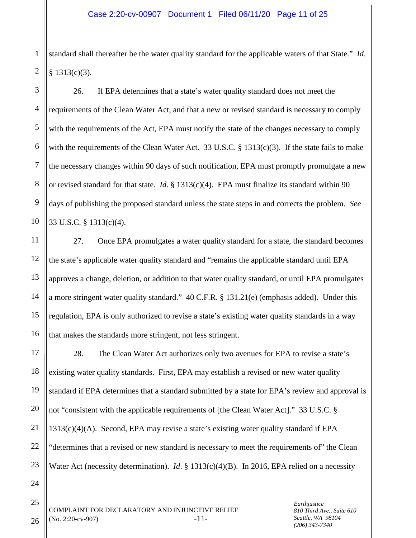1 2 standard shall thereafter be the water quality standard for the applicable waters of that State." *Id*.  $§$  1313(c)(3).

3 4 5 6 7 8 9 10 26. If EPA determines that a state's water quality standard does not meet the requirements of the Clean Water Act, and that a new or revised standard is necessary to comply with the requirements of the Act, EPA must notify the state of the changes necessary to comply with the requirements of the Clean Water Act. 33 U.S.C. § 1313(c)(3). If the state fails to make the necessary changes within 90 days of such notification, EPA must promptly promulgate a new or revised standard for that state. *Id*. § 1313(c)(4). EPA must finalize its standard within 90 days of publishing the proposed standard unless the state steps in and corrects the problem. *See* 33 U.S.C. § 1313(c)(4).

12 13 14 15 16 27. Once EPA promulgates a water quality standard for a state, the standard becomes the state's applicable water quality standard and "remains the applicable standard until EPA approves a change, deletion, or addition to that water quality standard, or until EPA promulgates a more stringent water quality standard." 40 C.F.R. § 131.21(e) (emphasis added). Under this regulation, EPA is only authorized to revise a state's existing water quality standards in a way that makes the standards more stringent, not less stringent.

17 18 19 20 21 22 23 28. The Clean Water Act authorizes only two avenues for EPA to revise a state's existing water quality standards. First, EPA may establish a revised or new water quality standard if EPA determines that a standard submitted by a state for EPA's review and approval is not "consistent with the applicable requirements of [the Clean Water Act]." 33 U.S.C. §  $1313(c)(4)(A)$ . Second, EPA may revise a state's existing water quality standard if EPA "determines that a revised or new standard is necessary to meet the requirements of" the Clean Water Act (necessity determination). *Id*. § 1313(c)(4)(B). In 2016, EPA relied on a necessity

24

25

26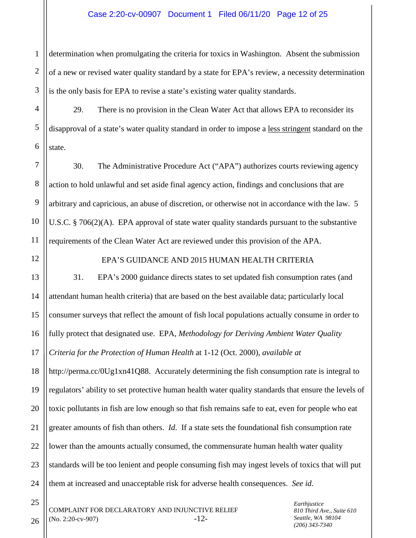#### Case 2:20-cv-00907 Document 1 Filed 06/11/20 Page 12 of 25

1 2 3 determination when promulgating the criteria for toxics in Washington. Absent the submission of a new or revised water quality standard by a state for EPA's review, a necessity determination is the only basis for EPA to revise a state's existing water quality standards.

4 5 6 29. There is no provision in the Clean Water Act that allows EPA to reconsider its disapproval of a state's water quality standard in order to impose a less stringent standard on the state.

7 8 9 10 11 30. The Administrative Procedure Act ("APA") authorizes courts reviewing agency action to hold unlawful and set aside final agency action, findings and conclusions that are arbitrary and capricious, an abuse of discretion, or otherwise not in accordance with the law. 5 U.S.C. § 706(2)(A). EPA approval of state water quality standards pursuant to the substantive requirements of the Clean Water Act are reviewed under this provision of the APA.

12

25

26

EPA'S GUIDANCE AND 2015 HUMAN HEALTH CRITERIA

13 14 15 16 17 18 19 20 21 22 23 24 31. EPA's 2000 guidance directs states to set updated fish consumption rates (and attendant human health criteria) that are based on the best available data; particularly local consumer surveys that reflect the amount of fish local populations actually consume in order to fully protect that designated use. EPA, *Methodology for Deriving Ambient Water Quality Criteria for the Protection of Human Health* at 1-12 (Oct. 2000), *available at* http://perma.cc/0Ug1xn41Q88. Accurately determining the fish consumption rate is integral to regulators' ability to set protective human health water quality standards that ensure the levels of toxic pollutants in fish are low enough so that fish remains safe to eat, even for people who eat greater amounts of fish than others. *Id*. If a state sets the foundational fish consumption rate lower than the amounts actually consumed, the commensurate human health water quality standards will be too lenient and people consuming fish may ingest levels of toxics that will put them at increased and unacceptable risk for adverse health consequences. *See id.*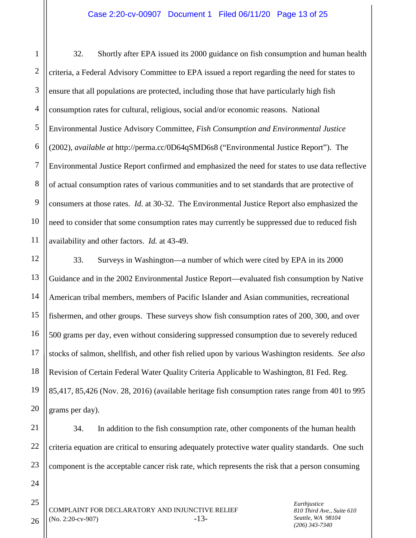1 2 3 4 5 6 7 8 9 10 11 32. Shortly after EPA issued its 2000 guidance on fish consumption and human health criteria, a Federal Advisory Committee to EPA issued a report regarding the need for states to ensure that all populations are protected, including those that have particularly high fish consumption rates for cultural, religious, social and/or economic reasons. National Environmental Justice Advisory Committee, *Fish Consumption and Environmental Justice* (2002), *available at* http://perma.cc/0D64qSMD6s8 ("Environmental Justice Report"). The Environmental Justice Report confirmed and emphasized the need for states to use data reflective of actual consumption rates of various communities and to set standards that are protective of consumers at those rates. *Id.* at 30-32. The Environmental Justice Report also emphasized the need to consider that some consumption rates may currently be suppressed due to reduced fish availability and other factors. *Id.* at 43-49.

12 13 14 15 16 17 18 19 20 33. Surveys in Washington—a number of which were cited by EPA in its 2000 Guidance and in the 2002 Environmental Justice Report—evaluated fish consumption by Native American tribal members, members of Pacific Islander and Asian communities, recreational fishermen, and other groups. These surveys show fish consumption rates of 200, 300, and over 500 grams per day, even without considering suppressed consumption due to severely reduced stocks of salmon, shellfish, and other fish relied upon by various Washington residents. *See also*  Revision of Certain Federal Water Quality Criteria Applicable to Washington, 81 Fed. Reg. 85,417, 85,426 (Nov. 28, 2016) (available heritage fish consumption rates range from 401 to 995 grams per day).

21 22 23 34. In addition to the fish consumption rate, other components of the human health criteria equation are critical to ensuring adequately protective water quality standards. One such component is the acceptable cancer risk rate, which represents the risk that a person consuming

COMPLAINT FOR DECLARATORY AND INJUNCTIVE RELIEF  $(No. 2:20$ -cv-907)  $-13$ - *Earthjustice 810 Third Ave., Suite 610 Seattle, WA 98104 (206) 343-7340*

26

24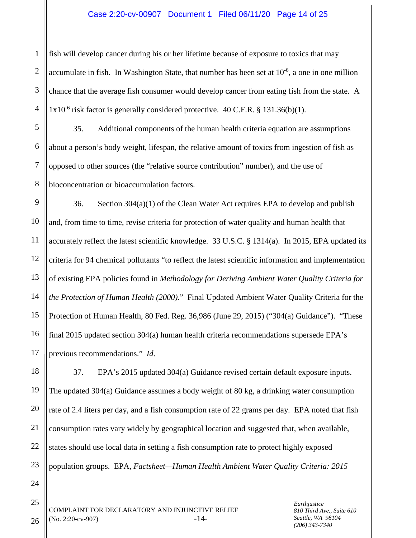### Case 2:20-cv-00907 Document 1 Filed 06/11/20 Page 14 of 25

1 2 3 4 fish will develop cancer during his or her lifetime because of exposure to toxics that may accumulate in fish. In Washington State, that number has been set at 10<sup>-6</sup>, a one in one million chance that the average fish consumer would develop cancer from eating fish from the state. A  $1x10^{-6}$  risk factor is generally considered protective. 40 C.F.R. § 131.36(b)(1).

5 6 8 35. Additional components of the human health criteria equation are assumptions about a person's body weight, lifespan, the relative amount of toxics from ingestion of fish as opposed to other sources (the "relative source contribution" number), and the use of bioconcentration or bioaccumulation factors.

9 10 11 12 13 14 15 16 17 36. Section 304(a)(1) of the Clean Water Act requires EPA to develop and publish and, from time to time, revise criteria for protection of water quality and human health that accurately reflect the latest scientific knowledge. 33 U.S.C. § 1314(a). In 2015, EPA updated its criteria for 94 chemical pollutants "to reflect the latest scientific information and implementation of existing EPA policies found in *Methodology for Deriving Ambient Water Quality Criteria for the Protection of Human Health (2000)*." Final Updated Ambient Water Quality Criteria for the Protection of Human Health, 80 Fed. Reg. 36,986 (June 29, 2015) ("304(a) Guidance"). "These final 2015 updated section 304(a) human health criteria recommendations supersede EPA's previous recommendations." *Id*.

18 19 20 21 22 37. EPA's 2015 updated 304(a) Guidance revised certain default exposure inputs. The updated 304(a) Guidance assumes a body weight of 80 kg, a drinking water consumption rate of 2.4 liters per day, and a fish consumption rate of 22 grams per day. EPA noted that fish consumption rates vary widely by geographical location and suggested that, when available, states should use local data in setting a fish consumption rate to protect highly exposed population groups. EPA, *Factsheet—Human Health Ambient Water Quality Criteria: 2015* 

23 24

25

26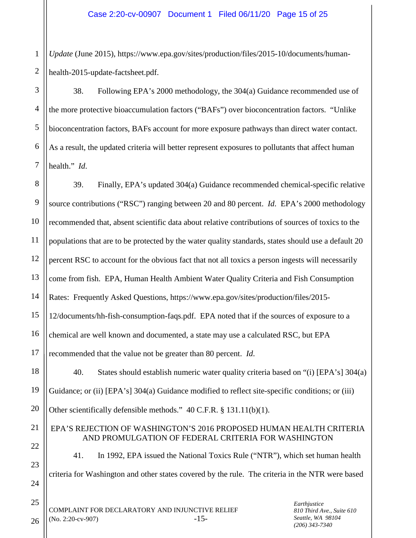1 2 *Update* (June 2015), https://www.epa.gov/sites/production/files/2015-10/documents/humanhealth-2015-update-factsheet.pdf.

3 4 5 6 7 38. Following EPA's 2000 methodology, the 304(a) Guidance recommended use of the more protective bioaccumulation factors ("BAFs") over bioconcentration factors. "Unlike bioconcentration factors, BAFs account for more exposure pathways than direct water contact. As a result, the updated criteria will better represent exposures to pollutants that affect human health." *Id*.

8 9 10 11 12 13 14 15 16 17 18 19 20 21 22 23 39. Finally, EPA's updated 304(a) Guidance recommended chemical-specific relative source contributions ("RSC") ranging between 20 and 80 percent. *Id*. EPA's 2000 methodology recommended that, absent scientific data about relative contributions of sources of toxics to the populations that are to be protected by the water quality standards, states should use a default 20 percent RSC to account for the obvious fact that not all toxics a person ingests will necessarily come from fish. EPA, Human Health Ambient Water Quality Criteria and Fish Consumption Rates: Frequently Asked Questions, https://www.epa.gov/sites/production/files/2015- 12/documents/hh-fish-consumption-faqs.pdf. EPA noted that if the sources of exposure to a chemical are well known and documented, a state may use a calculated RSC, but EPA recommended that the value not be greater than 80 percent. *Id*. 40. States should establish numeric water quality criteria based on "(i) [EPA's] 304(a) Guidance; or (ii) [EPA's] 304(a) Guidance modified to reflect site-specific conditions; or (iii) Other scientifically defensible methods." 40 C.F.R. § 131.11(b)(1). EPA'S REJECTION OF WASHINGTON'S 2016 PROPOSED HUMAN HEALTH CRITERIA AND PROMULGATION OF FEDERAL CRITERIA FOR WASHINGTON 41. In 1992, EPA issued the National Toxics Rule ("NTR"), which set human health

criteria for Washington and other states covered by the rule. The criteria in the NTR were based

COMPLAINT FOR DECLARATORY AND INJUNCTIVE RELIEF  $(No. 2:20$ -cv-907)  $-15$ - *Earthjustice 810 Third Ave., Suite 610 Seattle, WA 98104 (206) 343-7340*

26

24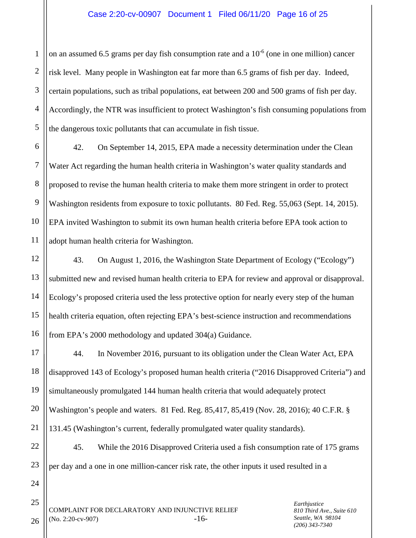1 2 3 4 5 on an assumed 6.5 grams per day fish consumption rate and a  $10^{-6}$  (one in one million) cancer risk level. Many people in Washington eat far more than 6.5 grams of fish per day. Indeed, certain populations, such as tribal populations, eat between 200 and 500 grams of fish per day. Accordingly, the NTR was insufficient to protect Washington's fish consuming populations from the dangerous toxic pollutants that can accumulate in fish tissue.

6 7 8 9 10 11 42. On September 14, 2015, EPA made a necessity determination under the Clean Water Act regarding the human health criteria in Washington's water quality standards and proposed to revise the human health criteria to make them more stringent in order to protect Washington residents from exposure to toxic pollutants. 80 Fed. Reg. 55,063 (Sept. 14, 2015). EPA invited Washington to submit its own human health criteria before EPA took action to adopt human health criteria for Washington.

12 13 14 15 16 43. On August 1, 2016, the Washington State Department of Ecology ("Ecology") submitted new and revised human health criteria to EPA for review and approval or disapproval. Ecology's proposed criteria used the less protective option for nearly every step of the human health criteria equation, often rejecting EPA's best-science instruction and recommendations from EPA's 2000 methodology and updated 304(a) Guidance.

17 18 19 20 21 44. In November 2016, pursuant to its obligation under the Clean Water Act, EPA disapproved 143 of Ecology's proposed human health criteria ("2016 Disapproved Criteria") and simultaneously promulgated 144 human health criteria that would adequately protect Washington's people and waters. 81 Fed. Reg. 85,417, 85,419 (Nov. 28, 2016); 40 C.F.R. § 131.45 (Washington's current, federally promulgated water quality standards).

45. While the 2016 Disapproved Criteria used a fish consumption rate of 175 grams per day and a one in one million-cancer risk rate, the other inputs it used resulted in a

24

25

26

22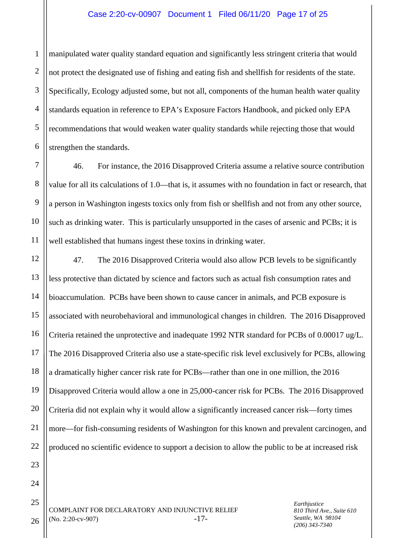#### Case 2:20-cv-00907 Document 1 Filed 06/11/20 Page 17 of 25

1 2 3 4 5 6 manipulated water quality standard equation and significantly less stringent criteria that would not protect the designated use of fishing and eating fish and shellfish for residents of the state. Specifically, Ecology adjusted some, but not all, components of the human health water quality standards equation in reference to EPA's Exposure Factors Handbook, and picked only EPA recommendations that would weaken water quality standards while rejecting those that would strengthen the standards.

7 8 9 10 11 46. For instance, the 2016 Disapproved Criteria assume a relative source contribution value for all its calculations of 1.0—that is, it assumes with no foundation in fact or research, that a person in Washington ingests toxics only from fish or shellfish and not from any other source, such as drinking water. This is particularly unsupported in the cases of arsenic and PCBs; it is well established that humans ingest these toxins in drinking water.

12 13 14 15 16 17 18 19 20 21 22 47. The 2016 Disapproved Criteria would also allow PCB levels to be significantly less protective than dictated by science and factors such as actual fish consumption rates and bioaccumulation. PCBs have been shown to cause cancer in animals, and PCB exposure is associated with neurobehavioral and immunological changes in children. The 2016 Disapproved Criteria retained the unprotective and inadequate 1992 NTR standard for PCBs of 0.00017 ug/L. The 2016 Disapproved Criteria also use a state-specific risk level exclusively for PCBs, allowing a dramatically higher cancer risk rate for PCBs—rather than one in one million, the 2016 Disapproved Criteria would allow a one in 25,000-cancer risk for PCBs. The 2016 Disapproved Criteria did not explain why it would allow a significantly increased cancer risk—forty times more—for fish-consuming residents of Washington for this known and prevalent carcinogen, and produced no scientific evidence to support a decision to allow the public to be at increased risk

COMPLAINT FOR DECLARATORY AND INJUNCTIVE RELIEF  $(No. 2:20$ -cv-907)  $-17$ - *Earthjustice 810 Third Ave., Suite 610 Seattle, WA 98104 (206) 343-7340*

26

23

24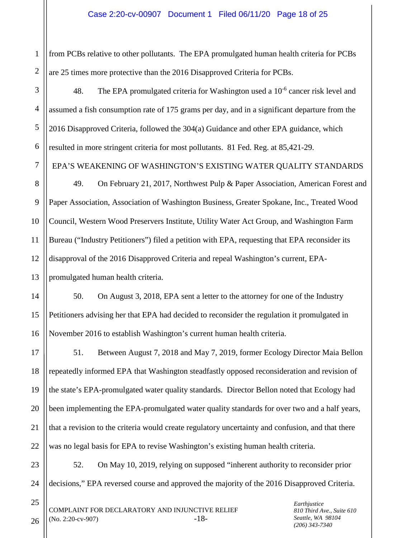1 2 from PCBs relative to other pollutants. The EPA promulgated human health criteria for PCBs are 25 times more protective than the 2016 Disapproved Criteria for PCBs.

3 4 5 6 48. The EPA promulgated criteria for Washington used a  $10^{-6}$  cancer risk level and assumed a fish consumption rate of 175 grams per day, and in a significant departure from the 2016 Disapproved Criteria, followed the 304(a) Guidance and other EPA guidance, which resulted in more stringent criteria for most pollutants. 81 Fed. Reg. at 85,421-29.

EPA'S WEAKENING OF WASHINGTON'S EXISTING WATER QUALITY STANDARDS

8 9 10 11 12 13 49. On February 21, 2017, Northwest Pulp & Paper Association, American Forest and Paper Association, Association of Washington Business, Greater Spokane, Inc., Treated Wood Council, Western Wood Preservers Institute, Utility Water Act Group, and Washington Farm Bureau ("Industry Petitioners") filed a petition with EPA, requesting that EPA reconsider its disapproval of the 2016 Disapproved Criteria and repeal Washington's current, EPApromulgated human health criteria.

14 15 16 50. On August 3, 2018, EPA sent a letter to the attorney for one of the Industry Petitioners advising her that EPA had decided to reconsider the regulation it promulgated in November 2016 to establish Washington's current human health criteria.

17 18 19 20 21 22 51. Between August 7, 2018 and May 7, 2019, former Ecology Director Maia Bellon repeatedly informed EPA that Washington steadfastly opposed reconsideration and revision of the state's EPA-promulgated water quality standards. Director Bellon noted that Ecology had been implementing the EPA-promulgated water quality standards for over two and a half years, that a revision to the criteria would create regulatory uncertainty and confusion, and that there was no legal basis for EPA to revise Washington's existing human health criteria.

23 24 52. On May 10, 2019, relying on supposed "inherent authority to reconsider prior decisions," EPA reversed course and approved the majority of the 2016 Disapproved Criteria.

26

25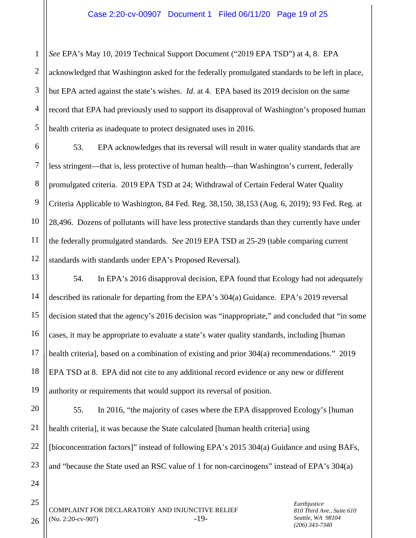*See* EPA's May 10, 2019 Technical Support Document ("2019 EPA TSD") at 4, 8. EPA

2 3 4 5 acknowledged that Washington asked for the federally promulgated standards to be left in place, but EPA acted against the state's wishes. *Id*. at 4. EPA based its 2019 decision on the same record that EPA had previously used to support its disapproval of Washington's proposed human health criteria as inadequate to protect designated uses in 2016.

6 7 8 9 10 11 12 53. EPA acknowledges that its reversal will result in water quality standards that are less stringent—that is, less protective of human health—than Washington's current, federally promulgated criteria. 2019 EPA TSD at 24; Withdrawal of Certain Federal Water Quality Criteria Applicable to Washington, 84 Fed. Reg. 38,150, 38,153 (Aug. 6, 2019); 93 Fed. Reg. at 28,496. Dozens of pollutants will have less protective standards than they currently have under the federally promulgated standards. *See* 2019 EPA TSD at 25-29 (table comparing current standards with standards under EPA's Proposed Reversal).

13 14 15 16 17 18 19 54. In EPA's 2016 disapproval decision, EPA found that Ecology had not adequately described its rationale for departing from the EPA's 304(a) Guidance. EPA's 2019 reversal decision stated that the agency's 2016 decision was "inappropriate," and concluded that "in some cases, it may be appropriate to evaluate a state's water quality standards, including [human health criteria], based on a combination of existing and prior  $304(a)$  recommendations." 2019 EPA TSD at 8. EPA did not cite to any additional record evidence or any new or different authority or requirements that would support its reversal of position.

20 21 22 23 55. In 2016, "the majority of cases where the EPA disapproved Ecology's [human health criteria], it was because the State calculated [human health criteria] using [bioconcentration factors]" instead of following EPA's 2015 304(a) Guidance and using BAFs, and "because the State used an RSC value of 1 for non-carcinogens" instead of EPA's 304(a)

COMPLAINT FOR DECLARATORY AND INJUNCTIVE RELIEF  $(No. 2:20$ -cv-907)  $-19$ - *Earthjustice 810 Third Ave., Suite 610 Seattle, WA 98104 (206) 343-7340*

26

24

25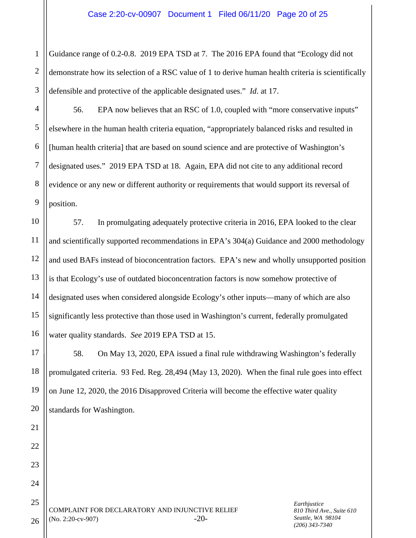1 2 3 Guidance range of 0.2-0.8. 2019 EPA TSD at 7. The 2016 EPA found that "Ecology did not demonstrate how its selection of a RSC value of 1 to derive human health criteria is scientifically defensible and protective of the applicable designated uses." *Id*. at 17.

4 56. EPA now believes that an RSC of 1.0, coupled with "more conservative inputs" elsewhere in the human health criteria equation, "appropriately balanced risks and resulted in [human health criteria] that are based on sound science and are protective of Washington's designated uses." 2019 EPA TSD at 18. Again, EPA did not cite to any additional record evidence or any new or different authority or requirements that would support its reversal of position.

57. In promulgating adequately protective criteria in 2016, EPA looked to the clear and scientifically supported recommendations in EPA's 304(a) Guidance and 2000 methodology and used BAFs instead of bioconcentration factors. EPA's new and wholly unsupported position is that Ecology's use of outdated bioconcentration factors is now somehow protective of designated uses when considered alongside Ecology's other inputs—many of which are also significantly less protective than those used in Washington's current, federally promulgated water quality standards. *See* 2019 EPA TSD at 15.

58. On May 13, 2020, EPA issued a final rule withdrawing Washington's federally promulgated criteria. 93 Fed. Reg. 28,494 (May 13, 2020). When the final rule goes into effect on June 12, 2020, the 2016 Disapproved Criteria will become the effective water quality standards for Washington.

COMPLAINT FOR DECLARATORY AND INJUNCTIVE RELIEF  $(No. 2:20$ -cv-907)  $-20$ 

*Earthjustice 810 Third Ave., Suite 610 Seattle, WA 98104 (206) 343-7340*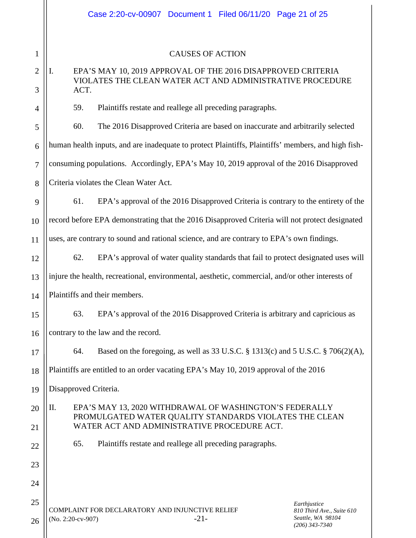|                | Case 2:20-cv-00907 Document 1 Filed 06/11/20 Page 21 of 25                                                                                                             |  |  |
|----------------|------------------------------------------------------------------------------------------------------------------------------------------------------------------------|--|--|
|                |                                                                                                                                                                        |  |  |
| 1              | <b>CAUSES OF ACTION</b>                                                                                                                                                |  |  |
| $\overline{2}$ | EPA'S MAY 10, 2019 APPROVAL OF THE 2016 DISAPPROVED CRITERIA<br>Ι.                                                                                                     |  |  |
| 3              | VIOLATES THE CLEAN WATER ACT AND ADMINISTRATIVE PROCEDURE<br>ACT.                                                                                                      |  |  |
| 4              | Plaintiffs restate and reallege all preceding paragraphs.<br>59.                                                                                                       |  |  |
| 5              | 60.<br>The 2016 Disapproved Criteria are based on inaccurate and arbitrarily selected                                                                                  |  |  |
| 6              | human health inputs, and are inadequate to protect Plaintiffs, Plaintiffs' members, and high fish-                                                                     |  |  |
| $\tau$         | consuming populations. Accordingly, EPA's May 10, 2019 approval of the 2016 Disapproved                                                                                |  |  |
| 8              | Criteria violates the Clean Water Act.                                                                                                                                 |  |  |
| 9              | EPA's approval of the 2016 Disapproved Criteria is contrary to the entirety of the<br>61.                                                                              |  |  |
| 10             | record before EPA demonstrating that the 2016 Disapproved Criteria will not protect designated                                                                         |  |  |
| 11             | uses, are contrary to sound and rational science, and are contrary to EPA's own findings.                                                                              |  |  |
| 12             | 62.<br>EPA's approval of water quality standards that fail to protect designated uses will                                                                             |  |  |
| 13             | injure the health, recreational, environmental, aesthetic, commercial, and/or other interests of                                                                       |  |  |
| 14             | Plaintiffs and their members.                                                                                                                                          |  |  |
| 15             | EPA's approval of the 2016 Disapproved Criteria is arbitrary and capricious as<br>63.                                                                                  |  |  |
| 16             | contrary to the law and the record.                                                                                                                                    |  |  |
| 17             | Based on the foregoing, as well as 33 U.S.C. § 1313(c) and 5 U.S.C. § 706(2)(A),<br>64.                                                                                |  |  |
| 18             | Plaintiffs are entitled to an order vacating EPA's May 10, 2019 approval of the 2016                                                                                   |  |  |
| 19             | Disapproved Criteria.                                                                                                                                                  |  |  |
| 20             | Π.<br>EPA'S MAY 13, 2020 WITHDRAWAL OF WASHINGTON'S FEDERALLY<br>PROMULGATED WATER QUALITY STANDARDS VIOLATES THE CLEAN<br>WATER ACT AND ADMINISTRATIVE PROCEDURE ACT. |  |  |
| 21             |                                                                                                                                                                        |  |  |
| 22             | 65.<br>Plaintiffs restate and reallege all preceding paragraphs.                                                                                                       |  |  |
| 23             |                                                                                                                                                                        |  |  |
| 24             |                                                                                                                                                                        |  |  |
| 25             | Earthjustice<br>COMPLAINT FOR DECLARATORY AND INJUNCTIVE RELIEF<br>810 Third Ave., Suite 610                                                                           |  |  |
| 26             | Seattle, WA 98104<br>$-21-$<br>(No. 2:20-cv-907)<br>$(206)$ 313-7310                                                                                                   |  |  |

*(206) 343-7340*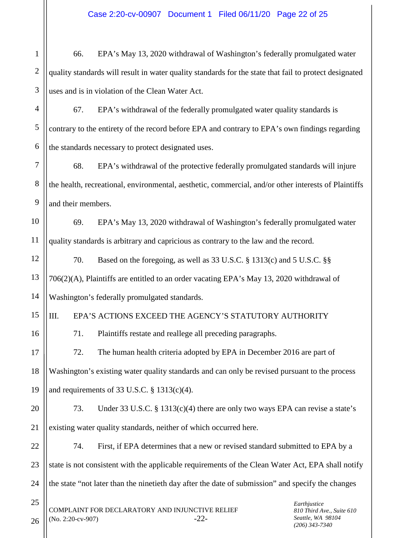1 2 3 4 5 6 7 8 9 10 11 12 13 14 15 16 17 66. EPA's May 13, 2020 withdrawal of Washington's federally promulgated water quality standards will result in water quality standards for the state that fail to protect designated uses and is in violation of the Clean Water Act. 67. EPA's withdrawal of the federally promulgated water quality standards is contrary to the entirety of the record before EPA and contrary to EPA's own findings regarding the standards necessary to protect designated uses. 68. EPA's withdrawal of the protective federally promulgated standards will injure the health, recreational, environmental, aesthetic, commercial, and/or other interests of Plaintiffs and their members. 69. EPA's May 13, 2020 withdrawal of Washington's federally promulgated water quality standards is arbitrary and capricious as contrary to the law and the record. 70. Based on the foregoing, as well as 33 U.S.C. § 1313(c) and 5 U.S.C. §§ 706(2)(A), Plaintiffs are entitled to an order vacating EPA's May 13, 2020 withdrawal of Washington's federally promulgated standards. III. EPA'S ACTIONS EXCEED THE AGENCY'S STATUTORY AUTHORITY 71. Plaintiffs restate and reallege all preceding paragraphs. 72. The human health criteria adopted by EPA in December 2016 are part of

18 19 Washington's existing water quality standards and can only be revised pursuant to the process and requirements of 33 U.S.C. § 1313(c)(4).

20 21 73. Under 33 U.S.C. § 1313(c)(4) there are only two ways EPA can revise a state's existing water quality standards, neither of which occurred here.

22 23 24 74. First, if EPA determines that a new or revised standard submitted to EPA by a state is not consistent with the applicable requirements of the Clean Water Act, EPA shall notify the state "not later than the ninetieth day after the date of submission" and specify the changes

COMPLAINT FOR DECLARATORY AND INJUNCTIVE RELIEF  $(No. 2:20-cv-907)$   $-22-$ 

25

26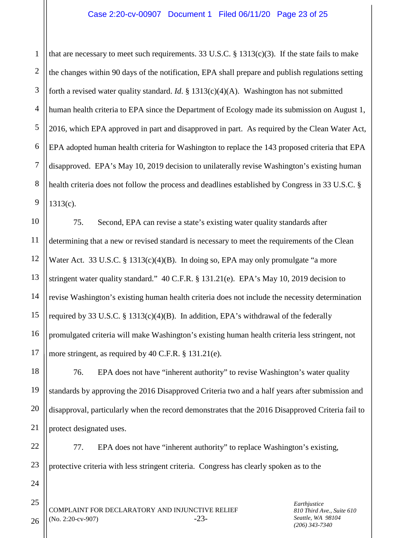1 2 3 4 5 6 7 8 9 that are necessary to meet such requirements. 33 U.S.C.  $\S$  1313(c)(3). If the state fails to make the changes within 90 days of the notification, EPA shall prepare and publish regulations setting forth a revised water quality standard. *Id*. § 1313(c)(4)(A). Washington has not submitted human health criteria to EPA since the Department of Ecology made its submission on August 1, 2016, which EPA approved in part and disapproved in part. As required by the Clean Water Act, EPA adopted human health criteria for Washington to replace the 143 proposed criteria that EPA disapproved. EPA's May 10, 2019 decision to unilaterally revise Washington's existing human health criteria does not follow the process and deadlines established by Congress in 33 U.S.C. §  $1313(c)$ .

10 11 12 13 14 15 16 17 75. Second, EPA can revise a state's existing water quality standards after determining that a new or revised standard is necessary to meet the requirements of the Clean Water Act. 33 U.S.C. § 1313(c)(4)(B). In doing so, EPA may only promulgate "a more stringent water quality standard." 40 C.F.R. § 131.21(e). EPA's May 10, 2019 decision to revise Washington's existing human health criteria does not include the necessity determination required by 33 U.S.C. § 1313(c)(4)(B). In addition, EPA's withdrawal of the federally promulgated criteria will make Washington's existing human health criteria less stringent, not more stringent, as required by 40 C.F.R. § 131.21(e).

18 19 20 21 76. EPA does not have "inherent authority" to revise Washington's water quality standards by approving the 2016 Disapproved Criteria two and a half years after submission and disapproval, particularly when the record demonstrates that the 2016 Disapproved Criteria fail to protect designated uses.

22 23 77. EPA does not have "inherent authority" to replace Washington's existing, protective criteria with less stringent criteria. Congress has clearly spoken as to the

COMPLAINT FOR DECLARATORY AND INJUNCTIVE RELIEF (No. 2:20-cv-907) -23*Earthjustice 810 Third Ave., Suite 610 Seattle, WA 98104 (206) 343-7340*

26

24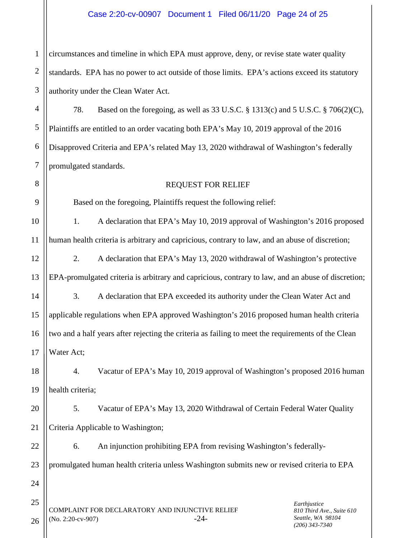### Case 2:20-cv-00907 Document 1 Filed 06/11/20 Page 24 of 25

1 2 3 circumstances and timeline in which EPA must approve, deny, or revise state water quality standards. EPA has no power to act outside of those limits. EPA's actions exceed its statutory authority under the Clean Water Act.

4 5 6 7 78. Based on the foregoing, as well as 33 U.S.C. § 1313(c) and 5 U.S.C. § 706(2)(C), Plaintiffs are entitled to an order vacating both EPA's May 10, 2019 approval of the 2016 Disapproved Criteria and EPA's related May 13, 2020 withdrawal of Washington's federally promulgated standards.

# REQUEST FOR RELIEF

Based on the foregoing, Plaintiffs request the following relief:

8

9

24

25

26

10 11 1. A declaration that EPA's May 10, 2019 approval of Washington's 2016 proposed human health criteria is arbitrary and capricious, contrary to law, and an abuse of discretion;

12 13 2. A declaration that EPA's May 13, 2020 withdrawal of Washington's protective EPA-promulgated criteria is arbitrary and capricious, contrary to law, and an abuse of discretion;

14 15 16 17 3. A declaration that EPA exceeded its authority under the Clean Water Act and applicable regulations when EPA approved Washington's 2016 proposed human health criteria two and a half years after rejecting the criteria as failing to meet the requirements of the Clean Water Act;

18 19 4. Vacatur of EPA's May 10, 2019 approval of Washington's proposed 2016 human health criteria;

20 21 5. Vacatur of EPA's May 13, 2020 Withdrawal of Certain Federal Water Quality Criteria Applicable to Washington;

22 23 6. An injunction prohibiting EPA from revising Washington's federallypromulgated human health criteria unless Washington submits new or revised criteria to EPA

COMPLAINT FOR DECLARATORY AND INJUNCTIVE RELIEF (No. 2:20-cv-907) -24-